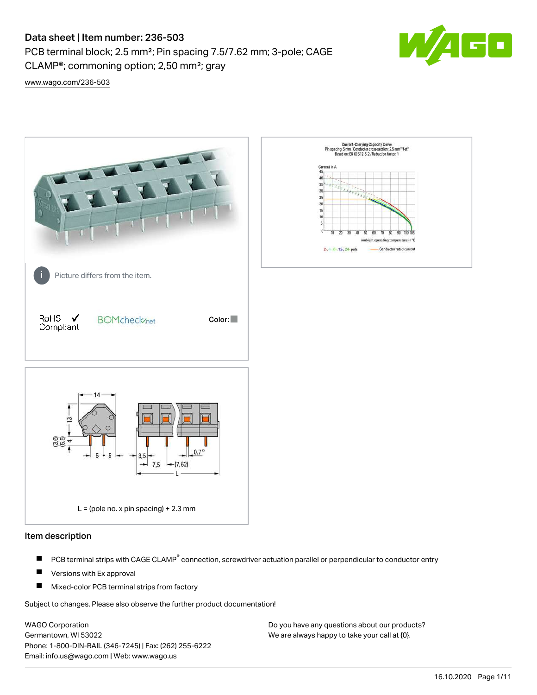# Data sheet | Item number: 236-503

PCB terminal block; 2.5 mm²; Pin spacing 7.5/7.62 mm; 3-pole; CAGE CLAMP®; commoning option; 2,50 mm²; gray



[www.wago.com/236-503](http://www.wago.com/236-503)



### Item description

- PCB terminal strips with CAGE CLAMP<sup>®</sup> connection, screwdriver actuation parallel or perpendicular to conductor entry П
- П Versions with Ex approval
- П Mixed-color PCB terminal strips from factory

Subject to changes. Please also observe the further product documentation!

WAGO Corporation Germantown, WI 53022 Phone: 1-800-DIN-RAIL (346-7245) | Fax: (262) 255-6222 Email: info.us@wago.com | Web: www.wago.us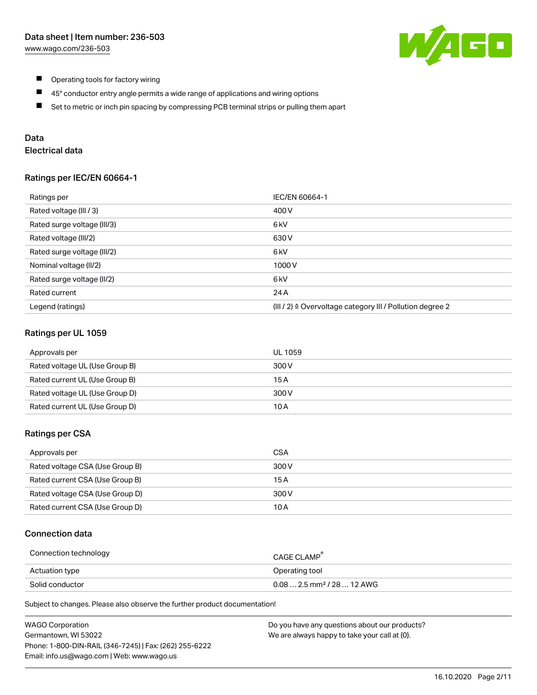

- $\blacksquare$ Operating tools for factory wiring
- $\blacksquare$ 45° conductor entry angle permits a wide range of applications and wiring options
- $\blacksquare$ Set to metric or inch pin spacing by compressing PCB terminal strips or pulling them apart

## Data

## Electrical data

### Ratings per IEC/EN 60664-1

| Ratings per                 | IEC/EN 60664-1                                                        |
|-----------------------------|-----------------------------------------------------------------------|
| Rated voltage (III / 3)     | 400 V                                                                 |
| Rated surge voltage (III/3) | 6 <sub>kV</sub>                                                       |
| Rated voltage (III/2)       | 630 V                                                                 |
| Rated surge voltage (III/2) | 6 <sub>k</sub> V                                                      |
| Nominal voltage (II/2)      | 1000V                                                                 |
| Rated surge voltage (II/2)  | 6 kV                                                                  |
| Rated current               | 24 A                                                                  |
| Legend (ratings)            | $(III / 2)$ $\triangle$ Overvoltage category III / Pollution degree 2 |

### Ratings per UL 1059

| Approvals per                  | UL 1059 |
|--------------------------------|---------|
| Rated voltage UL (Use Group B) | 300 V   |
| Rated current UL (Use Group B) | 15 A    |
| Rated voltage UL (Use Group D) | 300 V   |
| Rated current UL (Use Group D) | 10 A    |

### Ratings per CSA

| Approvals per                   | CSA   |
|---------------------------------|-------|
| Rated voltage CSA (Use Group B) | 300 V |
| Rated current CSA (Use Group B) | 15 A  |
| Rated voltage CSA (Use Group D) | 300 V |
| Rated current CSA (Use Group D) | 10 A  |

### Connection data

| Connection technology | CAGE CLAMP                              |
|-----------------------|-----------------------------------------|
| Actuation type        | Operating tool                          |
| Solid conductor       | $0.08$ 2.5 mm <sup>2</sup> / 28  12 AWG |

Subject to changes. Please also observe the further product documentation!

| <b>WAGO Corporation</b>                                | Do you have any questions about our products? |
|--------------------------------------------------------|-----------------------------------------------|
| Germantown, WI 53022                                   | We are always happy to take your call at {0}. |
| Phone: 1-800-DIN-RAIL (346-7245)   Fax: (262) 255-6222 |                                               |
| Email: info.us@wago.com   Web: www.wago.us             |                                               |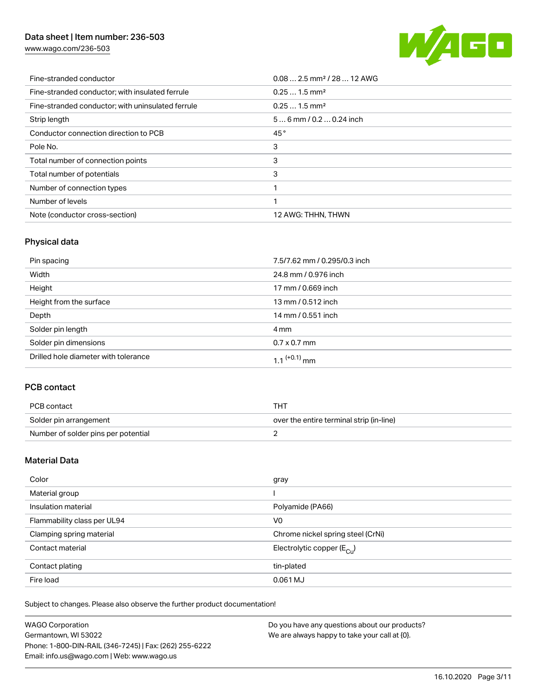## Data sheet | Item number: 236-503

[www.wago.com/236-503](http://www.wago.com/236-503)



| Fine-stranded conductor                           | $0.08$ 2.5 mm <sup>2</sup> / 28  12 AWG |
|---------------------------------------------------|-----------------------------------------|
| Fine-stranded conductor; with insulated ferrule   | $0.251.5$ mm <sup>2</sup>               |
| Fine-stranded conductor; with uninsulated ferrule | $0.251.5$ mm <sup>2</sup>               |
| Strip length                                      | $56$ mm / 0.2  0.24 inch                |
| Conductor connection direction to PCB             | 45°                                     |
| Pole No.                                          | 3                                       |
| Total number of connection points                 | 3                                       |
| Total number of potentials                        | 3                                       |
| Number of connection types                        |                                         |
| Number of levels                                  |                                         |
| Note (conductor cross-section)                    | 12 AWG: THHN, THWN                      |

## Physical data

| Pin spacing                          | 7.5/7.62 mm / 0.295/0.3 inch |
|--------------------------------------|------------------------------|
| Width                                | 24.8 mm / 0.976 inch         |
| Height                               | 17 mm / 0.669 inch           |
| Height from the surface              | 13 mm / 0.512 inch           |
| Depth                                | 14 mm / 0.551 inch           |
| Solder pin length                    | 4 mm                         |
| Solder pin dimensions                | $0.7 \times 0.7$ mm          |
| Drilled hole diameter with tolerance | $1.1$ <sup>(+0.1)</sup> mm   |

## PCB contact

| PCB contact                         | THT                                      |
|-------------------------------------|------------------------------------------|
| Solder pin arrangement              | over the entire terminal strip (in-line) |
| Number of solder pins per potential |                                          |

### Material Data

| Color                       | gray                                  |
|-----------------------------|---------------------------------------|
| Material group              |                                       |
| Insulation material         | Polyamide (PA66)                      |
| Flammability class per UL94 | V <sub>0</sub>                        |
| Clamping spring material    | Chrome nickel spring steel (CrNi)     |
| Contact material            | Electrolytic copper $(E_{\text{CL}})$ |
| Contact plating             | tin-plated                            |
| Fire load                   | 0.061 MJ                              |

Subject to changes. Please also observe the further product documentation!

| <b>WAGO Corporation</b>                                | Do you have any questions about our products? |
|--------------------------------------------------------|-----------------------------------------------|
| Germantown, WI 53022                                   | We are always happy to take your call at {0}. |
| Phone: 1-800-DIN-RAIL (346-7245)   Fax: (262) 255-6222 |                                               |
| Email: info.us@wago.com   Web: www.wago.us             |                                               |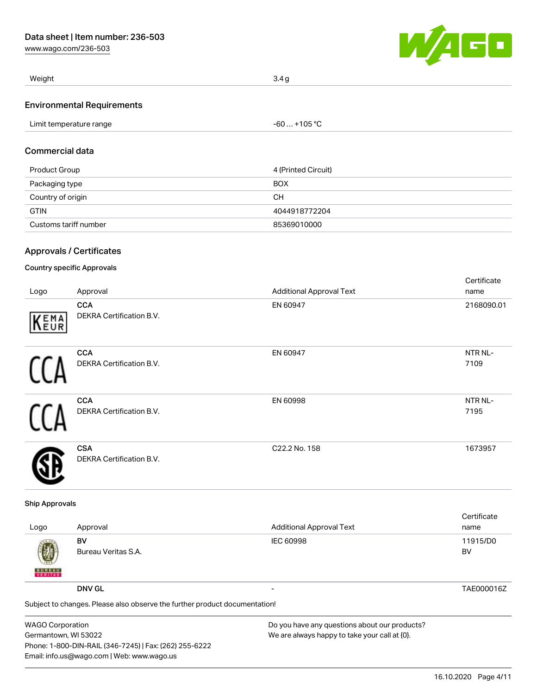[www.wago.com/236-503](http://www.wago.com/236-503)



| Weight                            | 3.4 <sub>q</sub> |
|-----------------------------------|------------------|
| <b>Environmental Requirements</b> |                  |
| Limit temperature range           | -60  +105 °C     |

## Commercial data

| Product Group         | 4 (Printed Circuit) |
|-----------------------|---------------------|
| Packaging type        | <b>BOX</b>          |
| Country of origin     | CН                  |
| <b>GTIN</b>           | 4044918772204       |
| Customs tariff number | 85369010000         |

## Approvals / Certificates

### Country specific Approvals

| Logo | Approval                                      | <b>Additional Approval Text</b> | Certificate<br>name |
|------|-----------------------------------------------|---------------------------------|---------------------|
| KEMA | <b>CCA</b><br><b>DEKRA Certification B.V.</b> | EN 60947                        | 2168090.01          |
|      | <b>CCA</b><br><b>DEKRA Certification B.V.</b> | EN 60947                        | NTR NL-<br>7109     |
|      | <b>CCA</b><br>DEKRA Certification B.V.        | EN 60998                        | NTR NL-<br>7195     |
|      | <b>CSA</b><br><b>DEKRA Certification B.V.</b> | C22.2 No. 158                   | 1673957             |

#### Ship Approvals

|                                                                            |                     |                                 | Certificate |
|----------------------------------------------------------------------------|---------------------|---------------------------------|-------------|
| Logo                                                                       | Approval            | <b>Additional Approval Text</b> | name        |
|                                                                            | BV                  | <b>IEC 60998</b>                | 11915/D0    |
| 嚩<br><b>BUREAU</b>                                                         | Bureau Veritas S.A. |                                 | BV          |
|                                                                            | <b>DNV GL</b>       |                                 | TAE000016Z  |
| Subject to changes. Please also observe the further product documentation! |                     |                                 |             |

| <b>WAGO Corporation</b>                                | Do you have any questions about our products? |
|--------------------------------------------------------|-----------------------------------------------|
| Germantown, WI 53022                                   | We are always happy to take your call at {0}. |
| Phone: 1-800-DIN-RAIL (346-7245)   Fax: (262) 255-6222 |                                               |
| Email: info.us@wago.com   Web: www.wago.us             |                                               |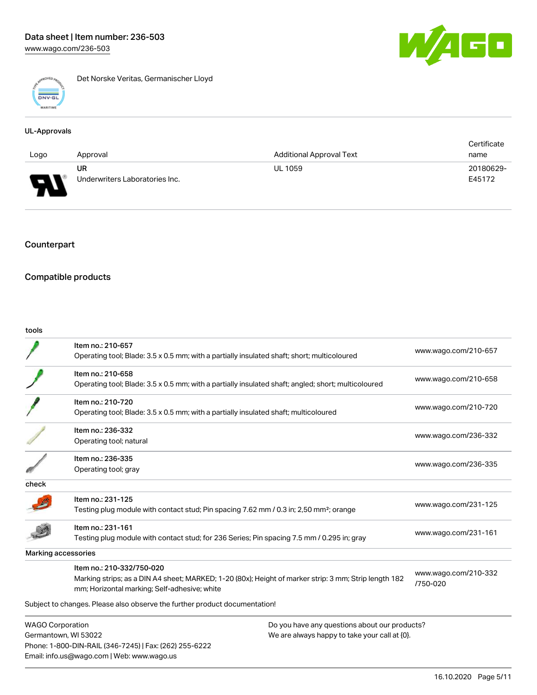

Det Norske Veritas, Germanischer Lloyd

### UL-Approvals

|                                    |                                |                                 | Certificate |
|------------------------------------|--------------------------------|---------------------------------|-------------|
| Logo                               | Approval                       | <b>Additional Approval Text</b> | name        |
|                                    | UR                             | <b>UL 1059</b>                  | 20180629-   |
| Б<br>◡<br>$\overline{\phantom{a}}$ | Underwriters Laboratories Inc. |                                 | E45172      |

## Counterpart

### Compatible products

Email: info.us@wago.com | Web: www.wago.us

#### tools

|                                                                                                           | Item no.: 210-657<br>Operating tool; Blade: 3.5 x 0.5 mm; with a partially insulated shaft; short; multicoloured                                                                   |                                                                                                | www.wago.com/210-657             |
|-----------------------------------------------------------------------------------------------------------|------------------------------------------------------------------------------------------------------------------------------------------------------------------------------------|------------------------------------------------------------------------------------------------|----------------------------------|
|                                                                                                           | Item no.: 210-658<br>Operating tool; Blade: 3.5 x 0.5 mm; with a partially insulated shaft; angled; short; multicoloured                                                           |                                                                                                | www.wago.com/210-658             |
|                                                                                                           | Item no.: 210-720<br>Operating tool; Blade: 3.5 x 0.5 mm; with a partially insulated shaft; multicoloured                                                                          |                                                                                                | www.wago.com/210-720             |
|                                                                                                           | Item no.: 236-332<br>Operating tool; natural                                                                                                                                       |                                                                                                | www.wago.com/236-332             |
|                                                                                                           | Item no.: 236-335<br>Operating tool; gray                                                                                                                                          |                                                                                                | www.wago.com/236-335             |
| check                                                                                                     |                                                                                                                                                                                    |                                                                                                |                                  |
|                                                                                                           | Item no.: 231-125<br>Testing plug module with contact stud; Pin spacing 7.62 mm / 0.3 in; 2,50 mm <sup>2</sup> ; orange                                                            |                                                                                                | www.wago.com/231-125             |
|                                                                                                           | Item no.: 231-161<br>Testing plug module with contact stud; for 236 Series; Pin spacing 7.5 mm / 0.295 in; gray                                                                    |                                                                                                | www.wago.com/231-161             |
|                                                                                                           | Marking accessories                                                                                                                                                                |                                                                                                |                                  |
|                                                                                                           | Item no.: 210-332/750-020<br>Marking strips; as a DIN A4 sheet; MARKED; 1-20 (80x); Height of marker strip: 3 mm; Strip length 182<br>mm; Horizontal marking; Self-adhesive; white |                                                                                                | www.wago.com/210-332<br>/750-020 |
|                                                                                                           | Subject to changes. Please also observe the further product documentation!                                                                                                         |                                                                                                |                                  |
| <b>WAGO Corporation</b><br>Germantown, WI 53022<br>Phone: 1-800-DIN-RAIL (346-7245)   Fax: (262) 255-6222 |                                                                                                                                                                                    | Do you have any questions about our products?<br>We are always happy to take your call at {0}. |                                  |

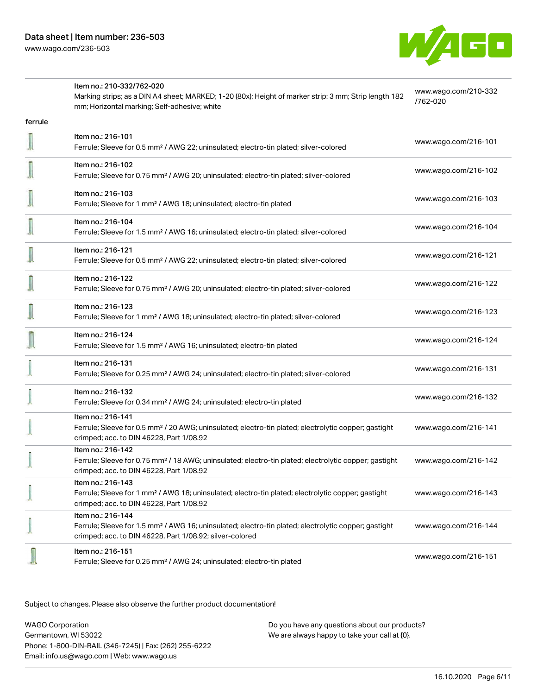

|         | Item no.: 210-332/762-020                                                                                                                                                                         |                                  |
|---------|---------------------------------------------------------------------------------------------------------------------------------------------------------------------------------------------------|----------------------------------|
|         | Marking strips; as a DIN A4 sheet; MARKED; 1-20 (80x); Height of marker strip: 3 mm; Strip length 182<br>mm; Horizontal marking; Self-adhesive; white                                             | www.wago.com/210-332<br>/762-020 |
| ferrule |                                                                                                                                                                                                   |                                  |
|         | Item no.: 216-101<br>Ferrule; Sleeve for 0.5 mm <sup>2</sup> / AWG 22; uninsulated; electro-tin plated; silver-colored                                                                            | www.wago.com/216-101             |
|         | Item no.: 216-102<br>Ferrule; Sleeve for 0.75 mm <sup>2</sup> / AWG 20; uninsulated; electro-tin plated; silver-colored                                                                           | www.wago.com/216-102             |
|         | Item no.: 216-103<br>Ferrule; Sleeve for 1 mm <sup>2</sup> / AWG 18; uninsulated; electro-tin plated                                                                                              | www.wago.com/216-103             |
|         | Item no.: 216-104<br>Ferrule; Sleeve for 1.5 mm <sup>2</sup> / AWG 16; uninsulated; electro-tin plated; silver-colored                                                                            | www.wago.com/216-104             |
|         | Item no.: 216-121<br>Ferrule; Sleeve for 0.5 mm <sup>2</sup> / AWG 22; uninsulated; electro-tin plated; silver-colored                                                                            | www.wago.com/216-121             |
|         | Item no.: 216-122<br>Ferrule; Sleeve for 0.75 mm <sup>2</sup> / AWG 20; uninsulated; electro-tin plated; silver-colored                                                                           | www.wago.com/216-122             |
|         | Item no.: 216-123<br>Ferrule; Sleeve for 1 mm <sup>2</sup> / AWG 18; uninsulated; electro-tin plated; silver-colored                                                                              | www.wago.com/216-123             |
|         | Item no.: 216-124<br>Ferrule; Sleeve for 1.5 mm <sup>2</sup> / AWG 16; uninsulated; electro-tin plated                                                                                            | www.wago.com/216-124             |
|         | Item no.: 216-131<br>Ferrule; Sleeve for 0.25 mm <sup>2</sup> / AWG 24; uninsulated; electro-tin plated; silver-colored                                                                           | www.wago.com/216-131             |
|         | Item no.: 216-132<br>Ferrule; Sleeve for 0.34 mm <sup>2</sup> / AWG 24; uninsulated; electro-tin plated                                                                                           | www.wago.com/216-132             |
|         | Item no.: 216-141<br>Ferrule; Sleeve for 0.5 mm <sup>2</sup> / 20 AWG; uninsulated; electro-tin plated; electrolytic copper; gastight<br>crimped; acc. to DIN 46228, Part 1/08.92                 | www.wago.com/216-141             |
|         | Item no.: 216-142<br>Ferrule; Sleeve for 0.75 mm <sup>2</sup> / 18 AWG; uninsulated; electro-tin plated; electrolytic copper; gastight<br>crimped; acc. to DIN 46228, Part 1/08.92                | www.wago.com/216-142             |
|         | Item no.: 216-143<br>Ferrule; Sleeve for 1 mm <sup>2</sup> / AWG 18; uninsulated; electro-tin plated; electrolytic copper; gastight<br>crimped; acc. to DIN 46228, Part 1/08.92                   | www.wago.com/216-143             |
|         | Item no.: 216-144<br>Ferrule; Sleeve for 1.5 mm <sup>2</sup> / AWG 16; uninsulated; electro-tin plated; electrolytic copper; gastight<br>crimped; acc. to DIN 46228, Part 1/08.92; silver-colored | www.wago.com/216-144             |
|         | Item no.: 216-151<br>Ferrule; Sleeve for 0.25 mm <sup>2</sup> / AWG 24; uninsulated; electro-tin plated                                                                                           | www.wago.com/216-151             |

Subject to changes. Please also observe the further product documentation!

WAGO Corporation Germantown, WI 53022 Phone: 1-800-DIN-RAIL (346-7245) | Fax: (262) 255-6222 Email: info.us@wago.com | Web: www.wago.us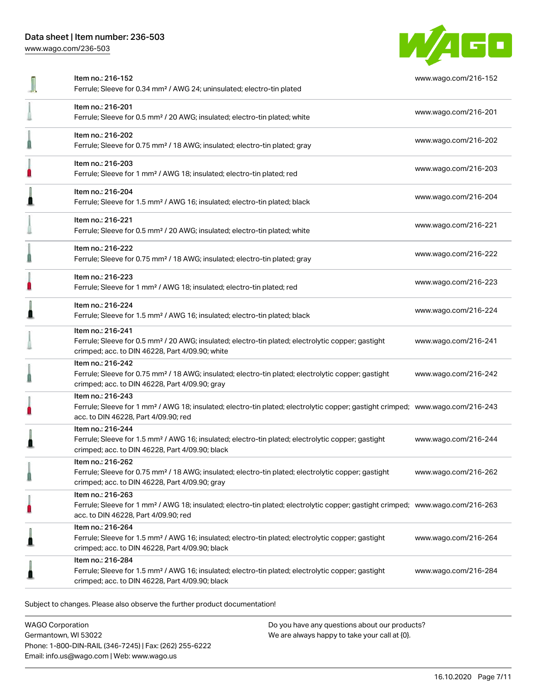# Data sheet | Item number: 236-503

[www.wago.com/236-503](http://www.wago.com/236-503)



| Item no.: 216-201<br>www.wago.com/216-201<br>Ferrule; Sleeve for 0.5 mm <sup>2</sup> / 20 AWG; insulated; electro-tin plated; white<br>Item no.: 216-202<br>www.wago.com/216-202<br>Ferrule; Sleeve for 0.75 mm <sup>2</sup> / 18 AWG; insulated; electro-tin plated; gray<br>Item no.: 216-203<br>www.wago.com/216-203<br>Ferrule; Sleeve for 1 mm <sup>2</sup> / AWG 18; insulated; electro-tin plated; red<br>Item no.: 216-204<br>www.wago.com/216-204<br>Ferrule; Sleeve for 1.5 mm <sup>2</sup> / AWG 16; insulated; electro-tin plated; black<br>Item no.: 216-221<br>www.wago.com/216-221<br>Ferrule; Sleeve for 0.5 mm <sup>2</sup> / 20 AWG; insulated; electro-tin plated; white<br>Item no.: 216-222<br>www.wago.com/216-222<br>Ferrule; Sleeve for 0.75 mm <sup>2</sup> / 18 AWG; insulated; electro-tin plated; gray<br>Item no.: 216-223<br>www.wago.com/216-223<br>Ferrule; Sleeve for 1 mm <sup>2</sup> / AWG 18; insulated; electro-tin plated; red<br>Item no.: 216-224<br>www.wago.com/216-224<br>Ferrule; Sleeve for 1.5 mm <sup>2</sup> / AWG 16; insulated; electro-tin plated; black<br>Item no.: 216-241<br>Ferrule; Sleeve for 0.5 mm <sup>2</sup> / 20 AWG; insulated; electro-tin plated; electrolytic copper; gastight<br>www.wago.com/216-241<br>crimped; acc. to DIN 46228, Part 4/09.90; white<br>Item no.: 216-242<br>Ferrule; Sleeve for 0.75 mm <sup>2</sup> / 18 AWG; insulated; electro-tin plated; electrolytic copper; gastight<br>www.wago.com/216-242<br>crimped; acc. to DIN 46228, Part 4/09.90; gray<br>Item no.: 216-243 |  |
|-----------------------------------------------------------------------------------------------------------------------------------------------------------------------------------------------------------------------------------------------------------------------------------------------------------------------------------------------------------------------------------------------------------------------------------------------------------------------------------------------------------------------------------------------------------------------------------------------------------------------------------------------------------------------------------------------------------------------------------------------------------------------------------------------------------------------------------------------------------------------------------------------------------------------------------------------------------------------------------------------------------------------------------------------------------------------------------------------------------------------------------------------------------------------------------------------------------------------------------------------------------------------------------------------------------------------------------------------------------------------------------------------------------------------------------------------------------------------------------------------------------------------------------------------------------------------|--|
|                                                                                                                                                                                                                                                                                                                                                                                                                                                                                                                                                                                                                                                                                                                                                                                                                                                                                                                                                                                                                                                                                                                                                                                                                                                                                                                                                                                                                                                                                                                                                                       |  |
|                                                                                                                                                                                                                                                                                                                                                                                                                                                                                                                                                                                                                                                                                                                                                                                                                                                                                                                                                                                                                                                                                                                                                                                                                                                                                                                                                                                                                                                                                                                                                                       |  |
|                                                                                                                                                                                                                                                                                                                                                                                                                                                                                                                                                                                                                                                                                                                                                                                                                                                                                                                                                                                                                                                                                                                                                                                                                                                                                                                                                                                                                                                                                                                                                                       |  |
|                                                                                                                                                                                                                                                                                                                                                                                                                                                                                                                                                                                                                                                                                                                                                                                                                                                                                                                                                                                                                                                                                                                                                                                                                                                                                                                                                                                                                                                                                                                                                                       |  |
|                                                                                                                                                                                                                                                                                                                                                                                                                                                                                                                                                                                                                                                                                                                                                                                                                                                                                                                                                                                                                                                                                                                                                                                                                                                                                                                                                                                                                                                                                                                                                                       |  |
|                                                                                                                                                                                                                                                                                                                                                                                                                                                                                                                                                                                                                                                                                                                                                                                                                                                                                                                                                                                                                                                                                                                                                                                                                                                                                                                                                                                                                                                                                                                                                                       |  |
|                                                                                                                                                                                                                                                                                                                                                                                                                                                                                                                                                                                                                                                                                                                                                                                                                                                                                                                                                                                                                                                                                                                                                                                                                                                                                                                                                                                                                                                                                                                                                                       |  |
|                                                                                                                                                                                                                                                                                                                                                                                                                                                                                                                                                                                                                                                                                                                                                                                                                                                                                                                                                                                                                                                                                                                                                                                                                                                                                                                                                                                                                                                                                                                                                                       |  |
|                                                                                                                                                                                                                                                                                                                                                                                                                                                                                                                                                                                                                                                                                                                                                                                                                                                                                                                                                                                                                                                                                                                                                                                                                                                                                                                                                                                                                                                                                                                                                                       |  |
|                                                                                                                                                                                                                                                                                                                                                                                                                                                                                                                                                                                                                                                                                                                                                                                                                                                                                                                                                                                                                                                                                                                                                                                                                                                                                                                                                                                                                                                                                                                                                                       |  |
| Ferrule; Sleeve for 1 mm <sup>2</sup> / AWG 18; insulated; electro-tin plated; electrolytic copper; gastight crimped; www.wago.com/216-243<br>acc. to DIN 46228, Part 4/09.90; red                                                                                                                                                                                                                                                                                                                                                                                                                                                                                                                                                                                                                                                                                                                                                                                                                                                                                                                                                                                                                                                                                                                                                                                                                                                                                                                                                                                    |  |
| Item no.: 216-244<br>Ferrule; Sleeve for 1.5 mm <sup>2</sup> / AWG 16; insulated; electro-tin plated; electrolytic copper; gastight<br>www.wago.com/216-244<br>crimped; acc. to DIN 46228, Part 4/09.90; black                                                                                                                                                                                                                                                                                                                                                                                                                                                                                                                                                                                                                                                                                                                                                                                                                                                                                                                                                                                                                                                                                                                                                                                                                                                                                                                                                        |  |
| Item no.: 216-262<br>Ferrule; Sleeve for 0.75 mm <sup>2</sup> / 18 AWG; insulated; electro-tin plated; electrolytic copper; gastight<br>www.wago.com/216-262<br>crimped; acc. to DIN 46228, Part 4/09.90; gray                                                                                                                                                                                                                                                                                                                                                                                                                                                                                                                                                                                                                                                                                                                                                                                                                                                                                                                                                                                                                                                                                                                                                                                                                                                                                                                                                        |  |
| Item no.: 216-263<br>Ferrule; Sleeve for 1 mm <sup>2</sup> / AWG 18; insulated; electro-tin plated; electrolytic copper; gastight crimped; www.wago.com/216-263<br>acc. to DIN 46228, Part 4/09.90; red                                                                                                                                                                                                                                                                                                                                                                                                                                                                                                                                                                                                                                                                                                                                                                                                                                                                                                                                                                                                                                                                                                                                                                                                                                                                                                                                                               |  |
| Item no.: 216-264<br>Ferrule; Sleeve for 1.5 mm <sup>2</sup> / AWG 16; insulated; electro-tin plated; electrolytic copper; gastight<br>www.wago.com/216-264<br>crimped; acc. to DIN 46228, Part 4/09.90; black                                                                                                                                                                                                                                                                                                                                                                                                                                                                                                                                                                                                                                                                                                                                                                                                                                                                                                                                                                                                                                                                                                                                                                                                                                                                                                                                                        |  |
| Item no.: 216-284<br>Ferrule; Sleeve for 1.5 mm <sup>2</sup> / AWG 16; insulated; electro-tin plated; electrolytic copper; gastight<br>www.wago.com/216-284<br>crimped; acc. to DIN 46228, Part 4/09.90; black                                                                                                                                                                                                                                                                                                                                                                                                                                                                                                                                                                                                                                                                                                                                                                                                                                                                                                                                                                                                                                                                                                                                                                                                                                                                                                                                                        |  |

Subject to changes. Please also observe the further product documentation!

WAGO Corporation Germantown, WI 53022 Phone: 1-800-DIN-RAIL (346-7245) | Fax: (262) 255-6222 Email: info.us@wago.com | Web: www.wago.us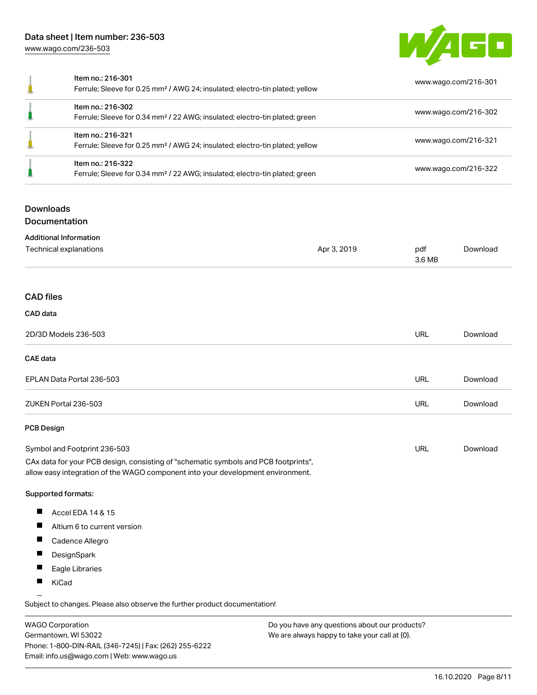## Data sheet | Item number: 236-503 [www.wago.com/236-503](http://www.wago.com/236-503)



| Item no.: 216-301<br>Ferrule; Sleeve for 0.25 mm <sup>2</sup> / AWG 24; insulated; electro-tin plated; yellow | www.wago.com/216-301 |
|---------------------------------------------------------------------------------------------------------------|----------------------|
| Item no.: 216-302<br>Ferrule; Sleeve for 0.34 mm <sup>2</sup> / 22 AWG; insulated; electro-tin plated; green  | www.wago.com/216-302 |
| Item no.: 216-321<br>Ferrule; Sleeve for 0.25 mm <sup>2</sup> / AWG 24; insulated; electro-tin plated; yellow | www.wago.com/216-321 |
| Item no.: 216-322<br>Ferrule; Sleeve for 0.34 mm <sup>2</sup> / 22 AWG; insulated; electro-tin plated; green  | www.wago.com/216-322 |

## **Downloads**

Documentation

| <b>Additional Information</b>                                                                                                                                          |             |               |          |
|------------------------------------------------------------------------------------------------------------------------------------------------------------------------|-------------|---------------|----------|
| Technical explanations                                                                                                                                                 | Apr 3, 2019 | pdf<br>3.6 MB | Download |
|                                                                                                                                                                        |             |               |          |
| <b>CAD files</b>                                                                                                                                                       |             |               |          |
| CAD data                                                                                                                                                               |             |               |          |
| 2D/3D Models 236-503                                                                                                                                                   |             | <b>URL</b>    | Download |
| CAE data                                                                                                                                                               |             |               |          |
| EPLAN Data Portal 236-503                                                                                                                                              |             | <b>URL</b>    | Download |
| ZUKEN Portal 236-503                                                                                                                                                   |             | <b>URL</b>    | Download |
| <b>PCB Design</b>                                                                                                                                                      |             |               |          |
| Symbol and Footprint 236-503                                                                                                                                           |             | <b>URL</b>    | Download |
| CAx data for your PCB design, consisting of "schematic symbols and PCB footprints",<br>allow easy integration of the WAGO component into your development environment. |             |               |          |

#### Supported formats:

- $\blacksquare$ Accel EDA 14 & 15
- $\blacksquare$ Altium 6 to current version
- $\blacksquare$ Cadence Allegro
- $\blacksquare$ **DesignSpark**
- $\blacksquare$ Eagle Libraries
- $\blacksquare$ KiCad

Subject to changes. Please also observe the further product documentation!

WAGO Corporation Germantown, WI 53022 Phone: 1-800-DIN-RAIL (346-7245) | Fax: (262) 255-6222 Email: info.us@wago.com | Web: www.wago.us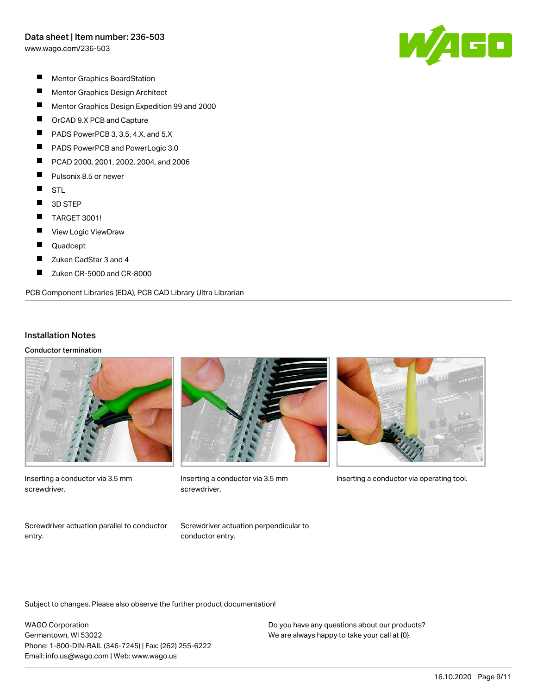[www.wago.com/236-503](http://www.wago.com/236-503)



- $\blacksquare$ Mentor Graphics BoardStation
- $\blacksquare$ Mentor Graphics Design Architect
- $\blacksquare$ Mentor Graphics Design Expedition 99 and 2000
- $\blacksquare$ OrCAD 9.X PCB and Capture
- П PADS PowerPCB 3, 3.5, 4.X, and 5.X
- П PADS PowerPCB and PowerLogic 3.0
- П PCAD 2000, 2001, 2002, 2004, and 2006
- $\blacksquare$ Pulsonix 8.5 or newer
- $\blacksquare$ **STL**
- $\blacksquare$ 3D STEP
- $\blacksquare$ TARGET 3001!
- П View Logic ViewDraw
- $\blacksquare$ Quadcept
- $\blacksquare$ Zuken CadStar 3 and 4
- П Zuken CR-5000 and CR-8000

#### PCB Component Libraries (EDA), PCB CAD Library Ultra Librarian

#### Installation Notes

Conductor termination



Inserting a conductor via 3.5 mm screwdriver.



screwdriver.



Inserting a conductor via 3.5 mm Inserting a conductor via operating tool.

Screwdriver actuation parallel to conductor entry.

Screwdriver actuation perpendicular to conductor entry.

Subject to changes. Please also observe the further product documentation!

WAGO Corporation Germantown, WI 53022 Phone: 1-800-DIN-RAIL (346-7245) | Fax: (262) 255-6222 Email: info.us@wago.com | Web: www.wago.us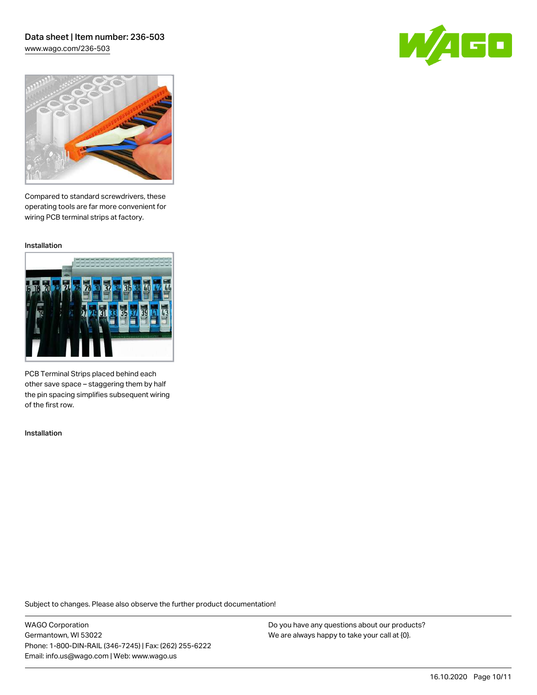### Data sheet | Item number: 236-503 [www.wago.com/236-503](http://www.wago.com/236-503)





Compared to standard screwdrivers, these operating tools are far more convenient for wiring PCB terminal strips at factory.

Installation



PCB Terminal Strips placed behind each other save space – staggering them by half the pin spacing simplifies subsequent wiring of the first row.

Installation

Subject to changes. Please also observe the further product documentation!

WAGO Corporation Germantown, WI 53022 Phone: 1-800-DIN-RAIL (346-7245) | Fax: (262) 255-6222 Email: info.us@wago.com | Web: www.wago.us